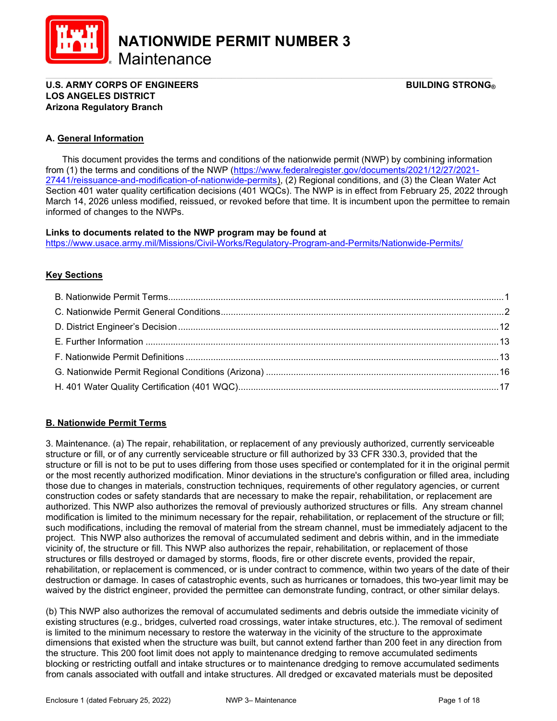

NATIONWIDE PERMIT NUMBER 3

**Maintenance** 

#### \_\_\_\_\_\_\_\_\_\_\_\_\_\_\_\_\_\_\_\_\_\_\_\_\_\_\_\_\_\_\_\_\_\_\_\_\_\_\_\_\_\_\_\_\_\_\_\_\_\_\_\_\_\_\_\_\_\_\_\_\_\_\_\_\_\_\_\_\_\_\_\_\_\_\_\_\_\_\_\_\_\_\_\_\_\_\_\_\_ U.S. ARMY CORPS OF ENGINEERS GEET ALL THE STRONG BUILDING STRONG BUILDING STRONG BUILDING STRONG BUILDING STRONG LOS ANGELES DISTRICT Arizona Regulatory Branch

# A. General Information

 This document provides the terms and conditions of the nationwide permit (NWP) by combining information from (1) the terms and conditions of the NWP (https://www.federalregister.gov/documents/2021/12/27/2021- 27441/reissuance-and-modification-of-nationwide-permits), (2) Regional conditions, and (3) the Clean Water Act Section 401 water quality certification decisions (401 WQCs). The NWP is in effect from February 25, 2022 through March 14, 2026 unless modified, reissued, or revoked before that time. It is incumbent upon the permittee to remain informed of changes to the NWPs.

### Links to documents related to the NWP program may be found at

https://www.usace.army.mil/Missions/Civil-Works/Regulatory-Program-and-Permits/Nationwide-Permits/

# **Key Sections**

# B. Nationwide Permit Terms

3. Maintenance. (a) The repair, rehabilitation, or replacement of any previously authorized, currently serviceable structure or fill, or of any currently serviceable structure or fill authorized by 33 CFR 330.3, provided that the structure or fill is not to be put to uses differing from those uses specified or contemplated for it in the original permit or the most recently authorized modification. Minor deviations in the structure's configuration or filled area, including those due to changes in materials, construction techniques, requirements of other regulatory agencies, or current construction codes or safety standards that are necessary to make the repair, rehabilitation, or replacement are authorized. This NWP also authorizes the removal of previously authorized structures or fills. Any stream channel modification is limited to the minimum necessary for the repair, rehabilitation, or replacement of the structure or fill; such modifications, including the removal of material from the stream channel, must be immediately adjacent to the project. This NWP also authorizes the removal of accumulated sediment and debris within, and in the immediate vicinity of, the structure or fill. This NWP also authorizes the repair, rehabilitation, or replacement of those structures or fills destroyed or damaged by storms, floods, fire or other discrete events, provided the repair, rehabilitation, or replacement is commenced, or is under contract to commence, within two years of the date of their destruction or damage. In cases of catastrophic events, such as hurricanes or tornadoes, this two-year limit may be waived by the district engineer, provided the permittee can demonstrate funding, contract, or other similar delays.

(b) This NWP also authorizes the removal of accumulated sediments and debris outside the immediate vicinity of existing structures (e.g., bridges, culverted road crossings, water intake structures, etc.). The removal of sediment is limited to the minimum necessary to restore the waterway in the vicinity of the structure to the approximate dimensions that existed when the structure was built, but cannot extend farther than 200 feet in any direction from the structure. This 200 foot limit does not apply to maintenance dredging to remove accumulated sediments blocking or restricting outfall and intake structures or to maintenance dredging to remove accumulated sediments from canals associated with outfall and intake structures. All dredged or excavated materials must be deposited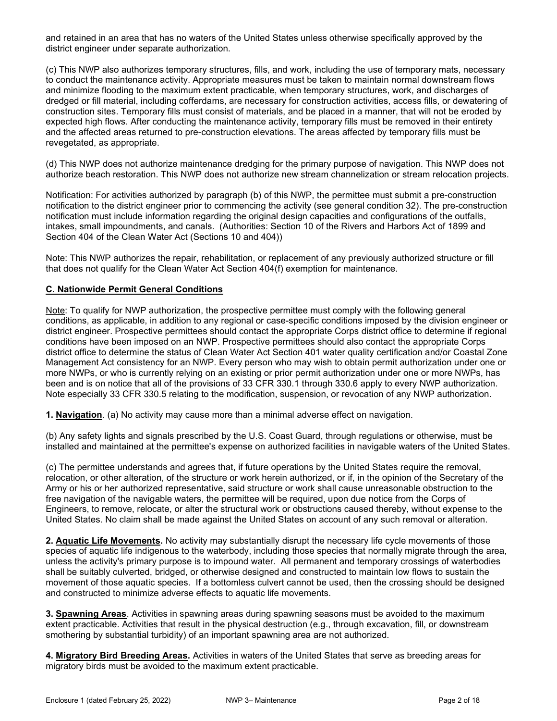and retained in an area that has no waters of the United States unless otherwise specifically approved by the district engineer under separate authorization.

(c) This NWP also authorizes temporary structures, fills, and work, including the use of temporary mats, necessary to conduct the maintenance activity. Appropriate measures must be taken to maintain normal downstream flows and minimize flooding to the maximum extent practicable, when temporary structures, work, and discharges of dredged or fill material, including cofferdams, are necessary for construction activities, access fills, or dewatering of construction sites. Temporary fills must consist of materials, and be placed in a manner, that will not be eroded by expected high flows. After conducting the maintenance activity, temporary fills must be removed in their entirety and the affected areas returned to pre-construction elevations. The areas affected by temporary fills must be revegetated, as appropriate.

(d) This NWP does not authorize maintenance dredging for the primary purpose of navigation. This NWP does not authorize beach restoration. This NWP does not authorize new stream channelization or stream relocation projects.

Notification: For activities authorized by paragraph (b) of this NWP, the permittee must submit a pre-construction notification to the district engineer prior to commencing the activity (see general condition 32). The pre-construction notification must include information regarding the original design capacities and configurations of the outfalls, intakes, small impoundments, and canals. (Authorities: Section 10 of the Rivers and Harbors Act of 1899 and Section 404 of the Clean Water Act (Sections 10 and 404))

Note: This NWP authorizes the repair, rehabilitation, or replacement of any previously authorized structure or fill that does not qualify for the Clean Water Act Section 404(f) exemption for maintenance.

### C. Nationwide Permit General Conditions

Note: To qualify for NWP authorization, the prospective permittee must comply with the following general conditions, as applicable, in addition to any regional or case-specific conditions imposed by the division engineer or district engineer. Prospective permittees should contact the appropriate Corps district office to determine if regional conditions have been imposed on an NWP. Prospective permittees should also contact the appropriate Corps district office to determine the status of Clean Water Act Section 401 water quality certification and/or Coastal Zone Management Act consistency for an NWP. Every person who may wish to obtain permit authorization under one or more NWPs, or who is currently relying on an existing or prior permit authorization under one or more NWPs, has been and is on notice that all of the provisions of 33 CFR 330.1 through 330.6 apply to every NWP authorization. Note especially 33 CFR 330.5 relating to the modification, suspension, or revocation of any NWP authorization.

1. Navigation. (a) No activity may cause more than a minimal adverse effect on navigation.

(b) Any safety lights and signals prescribed by the U.S. Coast Guard, through regulations or otherwise, must be installed and maintained at the permittee's expense on authorized facilities in navigable waters of the United States.

(c) The permittee understands and agrees that, if future operations by the United States require the removal, relocation, or other alteration, of the structure or work herein authorized, or if, in the opinion of the Secretary of the Army or his or her authorized representative, said structure or work shall cause unreasonable obstruction to the free navigation of the navigable waters, the permittee will be required, upon due notice from the Corps of Engineers, to remove, relocate, or alter the structural work or obstructions caused thereby, without expense to the United States. No claim shall be made against the United States on account of any such removal or alteration.

2. Aquatic Life Movements. No activity may substantially disrupt the necessary life cycle movements of those species of aquatic life indigenous to the waterbody, including those species that normally migrate through the area, unless the activity's primary purpose is to impound water. All permanent and temporary crossings of waterbodies shall be suitably culverted, bridged, or otherwise designed and constructed to maintain low flows to sustain the movement of those aquatic species. If a bottomless culvert cannot be used, then the crossing should be designed and constructed to minimize adverse effects to aquatic life movements.

3. Spawning Areas. Activities in spawning areas during spawning seasons must be avoided to the maximum extent practicable. Activities that result in the physical destruction (e.g., through excavation, fill, or downstream smothering by substantial turbidity) of an important spawning area are not authorized.

4. Migratory Bird Breeding Areas. Activities in waters of the United States that serve as breeding areas for migratory birds must be avoided to the maximum extent practicable.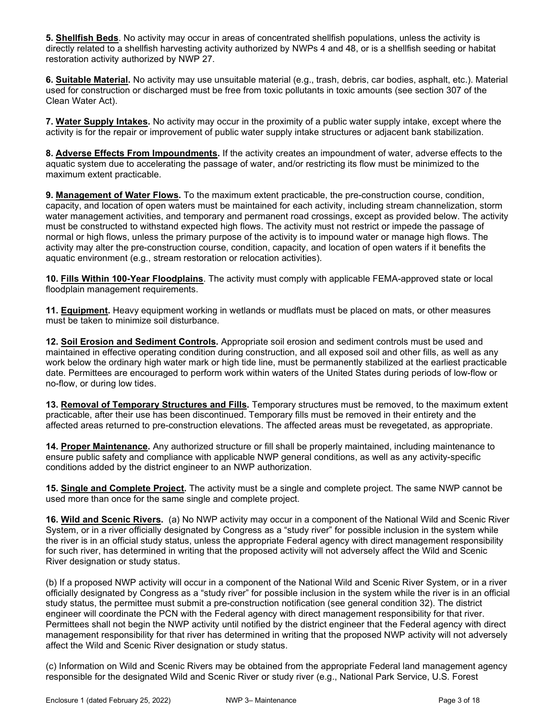5. Shellfish Beds. No activity may occur in areas of concentrated shellfish populations, unless the activity is directly related to a shellfish harvesting activity authorized by NWPs 4 and 48, or is a shellfish seeding or habitat restoration activity authorized by NWP 27.

6. Suitable Material. No activity may use unsuitable material (e.g., trash, debris, car bodies, asphalt, etc.). Material used for construction or discharged must be free from toxic pollutants in toxic amounts (see section 307 of the Clean Water Act).

7. Water Supply Intakes. No activity may occur in the proximity of a public water supply intake, except where the activity is for the repair or improvement of public water supply intake structures or adjacent bank stabilization.

8. Adverse Effects From Impoundments. If the activity creates an impoundment of water, adverse effects to the aquatic system due to accelerating the passage of water, and/or restricting its flow must be minimized to the maximum extent practicable.

9. Management of Water Flows. To the maximum extent practicable, the pre-construction course, condition, capacity, and location of open waters must be maintained for each activity, including stream channelization, storm water management activities, and temporary and permanent road crossings, except as provided below. The activity must be constructed to withstand expected high flows. The activity must not restrict or impede the passage of normal or high flows, unless the primary purpose of the activity is to impound water or manage high flows. The activity may alter the pre-construction course, condition, capacity, and location of open waters if it benefits the aquatic environment (e.g., stream restoration or relocation activities).

10. Fills Within 100-Year Floodplains. The activity must comply with applicable FEMA-approved state or local floodplain management requirements.

11. Equipment. Heavy equipment working in wetlands or mudflats must be placed on mats, or other measures must be taken to minimize soil disturbance.

12. Soil Erosion and Sediment Controls. Appropriate soil erosion and sediment controls must be used and maintained in effective operating condition during construction, and all exposed soil and other fills, as well as any work below the ordinary high water mark or high tide line, must be permanently stabilized at the earliest practicable date. Permittees are encouraged to perform work within waters of the United States during periods of low-flow or no-flow, or during low tides.

13. Removal of Temporary Structures and Fills. Temporary structures must be removed, to the maximum extent practicable, after their use has been discontinued. Temporary fills must be removed in their entirety and the affected areas returned to pre-construction elevations. The affected areas must be revegetated, as appropriate.

14. Proper Maintenance. Any authorized structure or fill shall be properly maintained, including maintenance to ensure public safety and compliance with applicable NWP general conditions, as well as any activity-specific conditions added by the district engineer to an NWP authorization.

15. Single and Complete Project. The activity must be a single and complete project. The same NWP cannot be used more than once for the same single and complete project.

16. Wild and Scenic Rivers. (a) No NWP activity may occur in a component of the National Wild and Scenic River System, or in a river officially designated by Congress as a "study river" for possible inclusion in the system while the river is in an official study status, unless the appropriate Federal agency with direct management responsibility for such river, has determined in writing that the proposed activity will not adversely affect the Wild and Scenic River designation or study status.

(b) If a proposed NWP activity will occur in a component of the National Wild and Scenic River System, or in a river officially designated by Congress as a "study river" for possible inclusion in the system while the river is in an official study status, the permittee must submit a pre-construction notification (see general condition 32). The district engineer will coordinate the PCN with the Federal agency with direct management responsibility for that river. Permittees shall not begin the NWP activity until notified by the district engineer that the Federal agency with direct management responsibility for that river has determined in writing that the proposed NWP activity will not adversely affect the Wild and Scenic River designation or study status.

(c) Information on Wild and Scenic Rivers may be obtained from the appropriate Federal land management agency responsible for the designated Wild and Scenic River or study river (e.g., National Park Service, U.S. Forest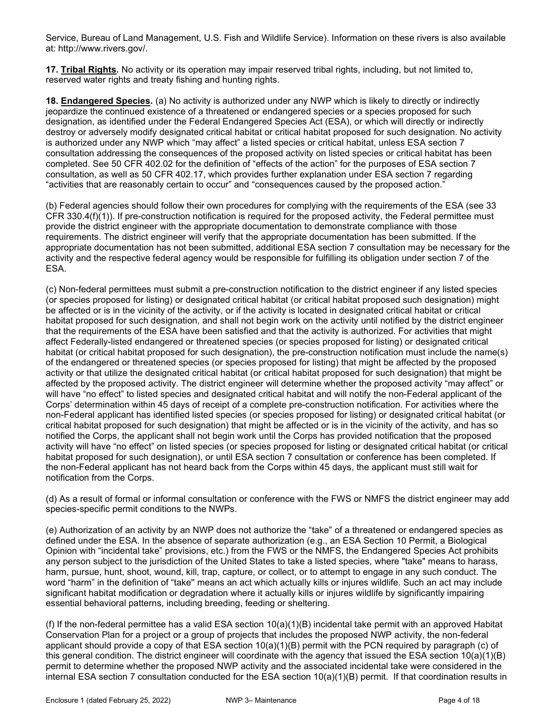Service, Bureau of Land Management, U.S. Fish and Wildlife Service). Information on these rivers is also available at: http://www.rivers.gov/.

17. Tribal Rights. No activity or its operation may impair reserved tribal rights, including, but not limited to, reserved water rights and treaty fishing and hunting rights.

18. Endangered Species. (a) No activity is authorized under any NWP which is likely to directly or indirectly jeopardize the continued existence of a threatened or endangered species or a species proposed for such designation, as identified under the Federal Endangered Species Act (ESA), or which will directly or indirectly destroy or adversely modify designated critical habitat or critical habitat proposed for such designation. No activity is authorized under any NWP which "may affect" a listed species or critical habitat, unless ESA section 7 consultation addressing the consequences of the proposed activity on listed species or critical habitat has been completed. See 50 CFR 402.02 for the definition of "effects of the action" for the purposes of ESA section 7 consultation, as well as 50 CFR 402.17, which provides further explanation under ESA section 7 regarding "activities that are reasonably certain to occur" and "consequences caused by the proposed action."

(b) Federal agencies should follow their own procedures for complying with the requirements of the ESA (see 33 CFR 330.4(f)(1)). If pre-construction notification is required for the proposed activity, the Federal permittee must provide the district engineer with the appropriate documentation to demonstrate compliance with those requirements. The district engineer will verify that the appropriate documentation has been submitted. If the appropriate documentation has not been submitted, additional ESA section 7 consultation may be necessary for the activity and the respective federal agency would be responsible for fulfilling its obligation under section 7 of the ESA.

(c) Non-federal permittees must submit a pre-construction notification to the district engineer if any listed species (or species proposed for listing) or designated critical habitat (or critical habitat proposed such designation) might be affected or is in the vicinity of the activity, or if the activity is located in designated critical habitat or critical habitat proposed for such designation, and shall not begin work on the activity until notified by the district engineer that the requirements of the ESA have been satisfied and that the activity is authorized. For activities that might affect Federally-listed endangered or threatened species (or species proposed for listing) or designated critical habitat (or critical habitat proposed for such designation), the pre-construction notification must include the name(s) of the endangered or threatened species (or species proposed for listing) that might be affected by the proposed activity or that utilize the designated critical habitat (or critical habitat proposed for such designation) that might be affected by the proposed activity. The district engineer will determine whether the proposed activity "may affect" or will have "no effect" to listed species and designated critical habitat and will notify the non-Federal applicant of the Corps' determination within 45 days of receipt of a complete pre-construction notification. For activities where the non-Federal applicant has identified listed species (or species proposed for listing) or designated critical habitat (or critical habitat proposed for such designation) that might be affected or is in the vicinity of the activity, and has so notified the Corps, the applicant shall not begin work until the Corps has provided notification that the proposed activity will have "no effect" on listed species (or species proposed for listing or designated critical habitat (or critical habitat proposed for such designation), or until ESA section 7 consultation or conference has been completed. If the non-Federal applicant has not heard back from the Corps within 45 days, the applicant must still wait for notification from the Corps.

(d) As a result of formal or informal consultation or conference with the FWS or NMFS the district engineer may add species-specific permit conditions to the NWPs.

(e) Authorization of an activity by an NWP does not authorize the "take" of a threatened or endangered species as defined under the ESA. In the absence of separate authorization (e.g., an ESA Section 10 Permit, a Biological Opinion with "incidental take" provisions, etc.) from the FWS or the NMFS, the Endangered Species Act prohibits any person subject to the jurisdiction of the United States to take a listed species, where "take" means to harass, harm, pursue, hunt, shoot, wound, kill, trap, capture, or collect, or to attempt to engage in any such conduct. The word "harm" in the definition of "take'' means an act which actually kills or injures wildlife. Such an act may include significant habitat modification or degradation where it actually kills or injures wildlife by significantly impairing essential behavioral patterns, including breeding, feeding or sheltering.

(f) If the non-federal permittee has a valid ESA section  $10(a)(1)(B)$  incidental take permit with an approved Habitat Conservation Plan for a project or a group of projects that includes the proposed NWP activity, the non-federal applicant should provide a copy of that ESA section 10(a)(1)(B) permit with the PCN required by paragraph (c) of this general condition. The district engineer will coordinate with the agency that issued the ESA section 10(a)(1)(B) permit to determine whether the proposed NWP activity and the associated incidental take were considered in the internal ESA section 7 consultation conducted for the ESA section 10(a)(1)(B) permit. If that coordination results in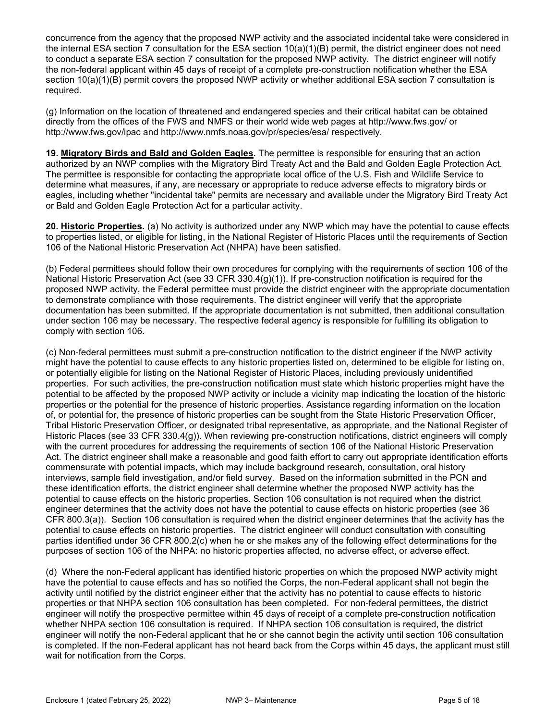concurrence from the agency that the proposed NWP activity and the associated incidental take were considered in the internal ESA section 7 consultation for the ESA section 10(a)(1)(B) permit, the district engineer does not need to conduct a separate ESA section 7 consultation for the proposed NWP activity. The district engineer will notify the non-federal applicant within 45 days of receipt of a complete pre-construction notification whether the ESA section 10(a)(1)(B) permit covers the proposed NWP activity or whether additional ESA section 7 consultation is required.

(g) Information on the location of threatened and endangered species and their critical habitat can be obtained directly from the offices of the FWS and NMFS or their world wide web pages at http://www.fws.gov/ or http://www.fws.gov/ipac and http://www.nmfs.noaa.gov/pr/species/esa/ respectively.

19. Migratory Birds and Bald and Golden Eagles. The permittee is responsible for ensuring that an action authorized by an NWP complies with the Migratory Bird Treaty Act and the Bald and Golden Eagle Protection Act. The permittee is responsible for contacting the appropriate local office of the U.S. Fish and Wildlife Service to determine what measures, if any, are necessary or appropriate to reduce adverse effects to migratory birds or eagles, including whether "incidental take" permits are necessary and available under the Migratory Bird Treaty Act or Bald and Golden Eagle Protection Act for a particular activity.

20. Historic Properties. (a) No activity is authorized under any NWP which may have the potential to cause effects to properties listed, or eligible for listing, in the National Register of Historic Places until the requirements of Section 106 of the National Historic Preservation Act (NHPA) have been satisfied.

(b) Federal permittees should follow their own procedures for complying with the requirements of section 106 of the National Historic Preservation Act (see 33 CFR 330.4(g)(1)). If pre-construction notification is required for the proposed NWP activity, the Federal permittee must provide the district engineer with the appropriate documentation to demonstrate compliance with those requirements. The district engineer will verify that the appropriate documentation has been submitted. If the appropriate documentation is not submitted, then additional consultation under section 106 may be necessary. The respective federal agency is responsible for fulfilling its obligation to comply with section 106.

(c) Non-federal permittees must submit a pre-construction notification to the district engineer if the NWP activity might have the potential to cause effects to any historic properties listed on, determined to be eligible for listing on, or potentially eligible for listing on the National Register of Historic Places, including previously unidentified properties. For such activities, the pre-construction notification must state which historic properties might have the potential to be affected by the proposed NWP activity or include a vicinity map indicating the location of the historic properties or the potential for the presence of historic properties. Assistance regarding information on the location of, or potential for, the presence of historic properties can be sought from the State Historic Preservation Officer, Tribal Historic Preservation Officer, or designated tribal representative, as appropriate, and the National Register of Historic Places (see 33 CFR 330.4(g)). When reviewing pre-construction notifications, district engineers will comply with the current procedures for addressing the requirements of section 106 of the National Historic Preservation Act. The district engineer shall make a reasonable and good faith effort to carry out appropriate identification efforts commensurate with potential impacts, which may include background research, consultation, oral history interviews, sample field investigation, and/or field survey. Based on the information submitted in the PCN and these identification efforts, the district engineer shall determine whether the proposed NWP activity has the potential to cause effects on the historic properties. Section 106 consultation is not required when the district engineer determines that the activity does not have the potential to cause effects on historic properties (see 36 CFR 800.3(a)). Section 106 consultation is required when the district engineer determines that the activity has the potential to cause effects on historic properties. The district engineer will conduct consultation with consulting parties identified under 36 CFR 800.2(c) when he or she makes any of the following effect determinations for the purposes of section 106 of the NHPA: no historic properties affected, no adverse effect, or adverse effect.

(d) Where the non-Federal applicant has identified historic properties on which the proposed NWP activity might have the potential to cause effects and has so notified the Corps, the non-Federal applicant shall not begin the activity until notified by the district engineer either that the activity has no potential to cause effects to historic properties or that NHPA section 106 consultation has been completed. For non-federal permittees, the district engineer will notify the prospective permittee within 45 days of receipt of a complete pre-construction notification whether NHPA section 106 consultation is required. If NHPA section 106 consultation is required, the district engineer will notify the non-Federal applicant that he or she cannot begin the activity until section 106 consultation is completed. If the non-Federal applicant has not heard back from the Corps within 45 days, the applicant must still wait for notification from the Corps.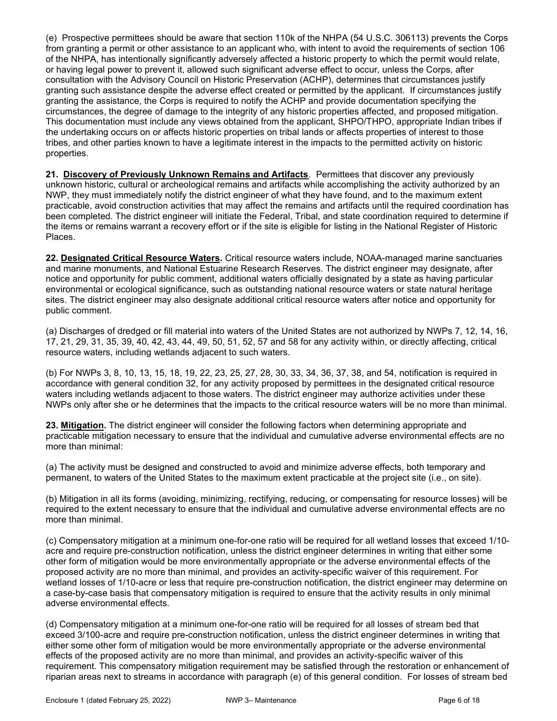(e) Prospective permittees should be aware that section 110k of the NHPA (54 U.S.C. 306113) prevents the Corps from granting a permit or other assistance to an applicant who, with intent to avoid the requirements of section 106 of the NHPA, has intentionally significantly adversely affected a historic property to which the permit would relate, or having legal power to prevent it, allowed such significant adverse effect to occur, unless the Corps, after consultation with the Advisory Council on Historic Preservation (ACHP), determines that circumstances justify granting such assistance despite the adverse effect created or permitted by the applicant. If circumstances justify granting the assistance, the Corps is required to notify the ACHP and provide documentation specifying the circumstances, the degree of damage to the integrity of any historic properties affected, and proposed mitigation. This documentation must include any views obtained from the applicant, SHPO/THPO, appropriate Indian tribes if the undertaking occurs on or affects historic properties on tribal lands or affects properties of interest to those tribes, and other parties known to have a legitimate interest in the impacts to the permitted activity on historic properties.

21. Discovery of Previously Unknown Remains and Artifacts. Permittees that discover any previously unknown historic, cultural or archeological remains and artifacts while accomplishing the activity authorized by an NWP, they must immediately notify the district engineer of what they have found, and to the maximum extent practicable, avoid construction activities that may affect the remains and artifacts until the required coordination has been completed. The district engineer will initiate the Federal, Tribal, and state coordination required to determine if the items or remains warrant a recovery effort or if the site is eligible for listing in the National Register of Historic Places.

22. Designated Critical Resource Waters. Critical resource waters include, NOAA-managed marine sanctuaries and marine monuments, and National Estuarine Research Reserves. The district engineer may designate, after notice and opportunity for public comment, additional waters officially designated by a state as having particular environmental or ecological significance, such as outstanding national resource waters or state natural heritage sites. The district engineer may also designate additional critical resource waters after notice and opportunity for public comment.

(a) Discharges of dredged or fill material into waters of the United States are not authorized by NWPs 7, 12, 14, 16, 17, 21, 29, 31, 35, 39, 40, 42, 43, 44, 49, 50, 51, 52, 57 and 58 for any activity within, or directly affecting, critical resource waters, including wetlands adjacent to such waters.

(b) For NWPs 3, 8, 10, 13, 15, 18, 19, 22, 23, 25, 27, 28, 30, 33, 34, 36, 37, 38, and 54, notification is required in accordance with general condition 32, for any activity proposed by permittees in the designated critical resource waters including wetlands adjacent to those waters. The district engineer may authorize activities under these NWPs only after she or he determines that the impacts to the critical resource waters will be no more than minimal.

23. Mitigation. The district engineer will consider the following factors when determining appropriate and practicable mitigation necessary to ensure that the individual and cumulative adverse environmental effects are no more than minimal:

(a) The activity must be designed and constructed to avoid and minimize adverse effects, both temporary and permanent, to waters of the United States to the maximum extent practicable at the project site (i.e., on site).

(b) Mitigation in all its forms (avoiding, minimizing, rectifying, reducing, or compensating for resource losses) will be required to the extent necessary to ensure that the individual and cumulative adverse environmental effects are no more than minimal.

(c) Compensatory mitigation at a minimum one-for-one ratio will be required for all wetland losses that exceed 1/10 acre and require pre-construction notification, unless the district engineer determines in writing that either some other form of mitigation would be more environmentally appropriate or the adverse environmental effects of the proposed activity are no more than minimal, and provides an activity-specific waiver of this requirement. For wetland losses of 1/10-acre or less that require pre-construction notification, the district engineer may determine on a case-by-case basis that compensatory mitigation is required to ensure that the activity results in only minimal adverse environmental effects.

(d) Compensatory mitigation at a minimum one-for-one ratio will be required for all losses of stream bed that exceed 3/100-acre and require pre-construction notification, unless the district engineer determines in writing that either some other form of mitigation would be more environmentally appropriate or the adverse environmental effects of the proposed activity are no more than minimal, and provides an activity-specific waiver of this requirement. This compensatory mitigation requirement may be satisfied through the restoration or enhancement of riparian areas next to streams in accordance with paragraph (e) of this general condition. For losses of stream bed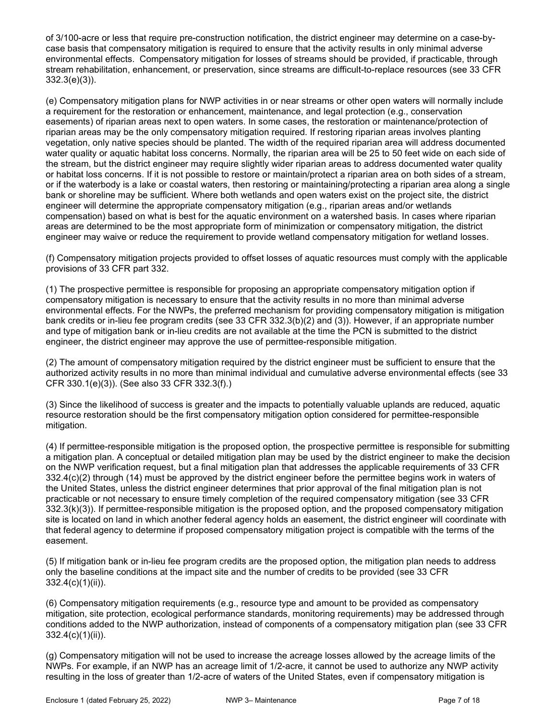of 3/100-acre or less that require pre-construction notification, the district engineer may determine on a case-bycase basis that compensatory mitigation is required to ensure that the activity results in only minimal adverse environmental effects. Compensatory mitigation for losses of streams should be provided, if practicable, through stream rehabilitation, enhancement, or preservation, since streams are difficult-to-replace resources (see 33 CFR 332.3(e)(3)).

(e) Compensatory mitigation plans for NWP activities in or near streams or other open waters will normally include a requirement for the restoration or enhancement, maintenance, and legal protection (e.g., conservation easements) of riparian areas next to open waters. In some cases, the restoration or maintenance/protection of riparian areas may be the only compensatory mitigation required. If restoring riparian areas involves planting vegetation, only native species should be planted. The width of the required riparian area will address documented water quality or aquatic habitat loss concerns. Normally, the riparian area will be 25 to 50 feet wide on each side of the stream, but the district engineer may require slightly wider riparian areas to address documented water quality or habitat loss concerns. If it is not possible to restore or maintain/protect a riparian area on both sides of a stream, or if the waterbody is a lake or coastal waters, then restoring or maintaining/protecting a riparian area along a single bank or shoreline may be sufficient. Where both wetlands and open waters exist on the project site, the district engineer will determine the appropriate compensatory mitigation (e.g., riparian areas and/or wetlands compensation) based on what is best for the aquatic environment on a watershed basis. In cases where riparian areas are determined to be the most appropriate form of minimization or compensatory mitigation, the district engineer may waive or reduce the requirement to provide wetland compensatory mitigation for wetland losses.

(f) Compensatory mitigation projects provided to offset losses of aquatic resources must comply with the applicable provisions of 33 CFR part 332.

(1) The prospective permittee is responsible for proposing an appropriate compensatory mitigation option if compensatory mitigation is necessary to ensure that the activity results in no more than minimal adverse environmental effects. For the NWPs, the preferred mechanism for providing compensatory mitigation is mitigation bank credits or in-lieu fee program credits (see 33 CFR 332.3(b)(2) and (3)). However, if an appropriate number and type of mitigation bank or in-lieu credits are not available at the time the PCN is submitted to the district engineer, the district engineer may approve the use of permittee-responsible mitigation.

(2) The amount of compensatory mitigation required by the district engineer must be sufficient to ensure that the authorized activity results in no more than minimal individual and cumulative adverse environmental effects (see 33 CFR 330.1(e)(3)). (See also 33 CFR 332.3(f).)

(3) Since the likelihood of success is greater and the impacts to potentially valuable uplands are reduced, aquatic resource restoration should be the first compensatory mitigation option considered for permittee-responsible mitigation.

(4) If permittee-responsible mitigation is the proposed option, the prospective permittee is responsible for submitting a mitigation plan. A conceptual or detailed mitigation plan may be used by the district engineer to make the decision on the NWP verification request, but a final mitigation plan that addresses the applicable requirements of 33 CFR 332.4(c)(2) through (14) must be approved by the district engineer before the permittee begins work in waters of the United States, unless the district engineer determines that prior approval of the final mitigation plan is not practicable or not necessary to ensure timely completion of the required compensatory mitigation (see 33 CFR 332.3(k)(3)). If permittee-responsible mitigation is the proposed option, and the proposed compensatory mitigation site is located on land in which another federal agency holds an easement, the district engineer will coordinate with that federal agency to determine if proposed compensatory mitigation project is compatible with the terms of the easement.

(5) If mitigation bank or in-lieu fee program credits are the proposed option, the mitigation plan needs to address only the baseline conditions at the impact site and the number of credits to be provided (see 33 CFR 332.4(c)(1)(ii)).

(6) Compensatory mitigation requirements (e.g., resource type and amount to be provided as compensatory mitigation, site protection, ecological performance standards, monitoring requirements) may be addressed through conditions added to the NWP authorization, instead of components of a compensatory mitigation plan (see 33 CFR 332.4(c)(1)(ii)).

(g) Compensatory mitigation will not be used to increase the acreage losses allowed by the acreage limits of the NWPs. For example, if an NWP has an acreage limit of 1/2-acre, it cannot be used to authorize any NWP activity resulting in the loss of greater than 1/2-acre of waters of the United States, even if compensatory mitigation is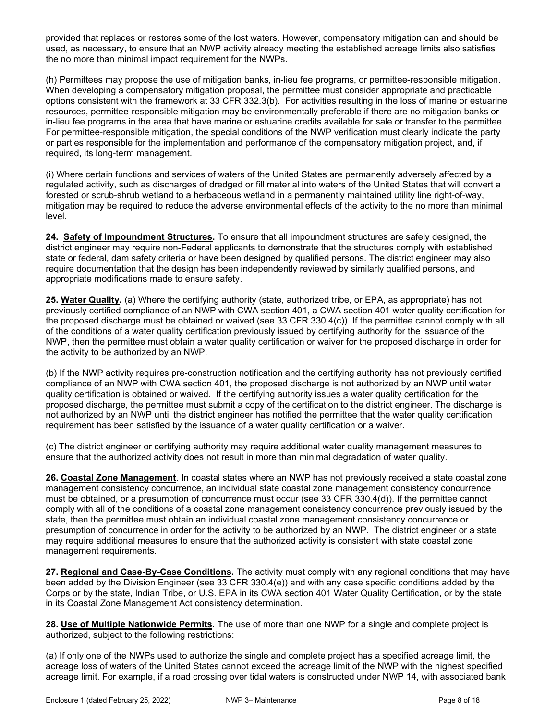provided that replaces or restores some of the lost waters. However, compensatory mitigation can and should be used, as necessary, to ensure that an NWP activity already meeting the established acreage limits also satisfies the no more than minimal impact requirement for the NWPs.

(h) Permittees may propose the use of mitigation banks, in-lieu fee programs, or permittee-responsible mitigation. When developing a compensatory mitigation proposal, the permittee must consider appropriate and practicable options consistent with the framework at 33 CFR 332.3(b). For activities resulting in the loss of marine or estuarine resources, permittee-responsible mitigation may be environmentally preferable if there are no mitigation banks or in-lieu fee programs in the area that have marine or estuarine credits available for sale or transfer to the permittee. For permittee-responsible mitigation, the special conditions of the NWP verification must clearly indicate the party or parties responsible for the implementation and performance of the compensatory mitigation project, and, if required, its long-term management.

(i) Where certain functions and services of waters of the United States are permanently adversely affected by a regulated activity, such as discharges of dredged or fill material into waters of the United States that will convert a forested or scrub-shrub wetland to a herbaceous wetland in a permanently maintained utility line right-of-way, mitigation may be required to reduce the adverse environmental effects of the activity to the no more than minimal level.

24. Safety of Impoundment Structures. To ensure that all impoundment structures are safely designed, the district engineer may require non-Federal applicants to demonstrate that the structures comply with established state or federal, dam safety criteria or have been designed by qualified persons. The district engineer may also require documentation that the design has been independently reviewed by similarly qualified persons, and appropriate modifications made to ensure safety.

25. Water Quality. (a) Where the certifying authority (state, authorized tribe, or EPA, as appropriate) has not previously certified compliance of an NWP with CWA section 401, a CWA section 401 water quality certification for the proposed discharge must be obtained or waived (see 33 CFR 330.4(c)). If the permittee cannot comply with all of the conditions of a water quality certification previously issued by certifying authority for the issuance of the NWP, then the permittee must obtain a water quality certification or waiver for the proposed discharge in order for the activity to be authorized by an NWP.

(b) If the NWP activity requires pre-construction notification and the certifying authority has not previously certified compliance of an NWP with CWA section 401, the proposed discharge is not authorized by an NWP until water quality certification is obtained or waived. If the certifying authority issues a water quality certification for the proposed discharge, the permittee must submit a copy of the certification to the district engineer. The discharge is not authorized by an NWP until the district engineer has notified the permittee that the water quality certification requirement has been satisfied by the issuance of a water quality certification or a waiver.

(c) The district engineer or certifying authority may require additional water quality management measures to ensure that the authorized activity does not result in more than minimal degradation of water quality.

26. Coastal Zone Management. In coastal states where an NWP has not previously received a state coastal zone management consistency concurrence, an individual state coastal zone management consistency concurrence must be obtained, or a presumption of concurrence must occur (see 33 CFR 330.4(d)). If the permittee cannot comply with all of the conditions of a coastal zone management consistency concurrence previously issued by the state, then the permittee must obtain an individual coastal zone management consistency concurrence or presumption of concurrence in order for the activity to be authorized by an NWP. The district engineer or a state may require additional measures to ensure that the authorized activity is consistent with state coastal zone management requirements.

27. Regional and Case-By-Case Conditions. The activity must comply with any regional conditions that may have been added by the Division Engineer (see 33 CFR 330.4(e)) and with any case specific conditions added by the Corps or by the state, Indian Tribe, or U.S. EPA in its CWA section 401 Water Quality Certification, or by the state in its Coastal Zone Management Act consistency determination.

28. Use of Multiple Nationwide Permits. The use of more than one NWP for a single and complete project is authorized, subject to the following restrictions:

(a) If only one of the NWPs used to authorize the single and complete project has a specified acreage limit, the acreage loss of waters of the United States cannot exceed the acreage limit of the NWP with the highest specified acreage limit. For example, if a road crossing over tidal waters is constructed under NWP 14, with associated bank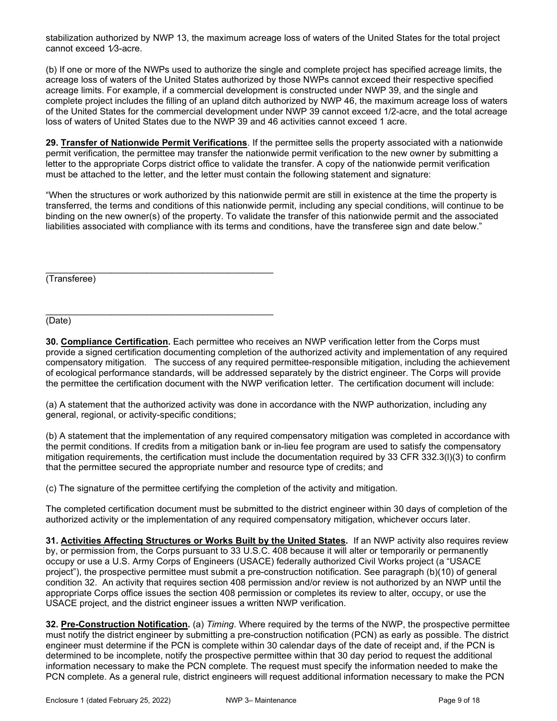stabilization authorized by NWP 13, the maximum acreage loss of waters of the United States for the total project cannot exceed 1/3-acre.

(b) If one or more of the NWPs used to authorize the single and complete project has specified acreage limits, the acreage loss of waters of the United States authorized by those NWPs cannot exceed their respective specified acreage limits. For example, if a commercial development is constructed under NWP 39, and the single and complete project includes the filling of an upland ditch authorized by NWP 46, the maximum acreage loss of waters of the United States for the commercial development under NWP 39 cannot exceed 1/2-acre, and the total acreage loss of waters of United States due to the NWP 39 and 46 activities cannot exceed 1 acre.

29. Transfer of Nationwide Permit Verifications. If the permittee sells the property associated with a nationwide permit verification, the permittee may transfer the nationwide permit verification to the new owner by submitting a letter to the appropriate Corps district office to validate the transfer. A copy of the nationwide permit verification must be attached to the letter, and the letter must contain the following statement and signature:

"When the structures or work authorized by this nationwide permit are still in existence at the time the property is transferred, the terms and conditions of this nationwide permit, including any special conditions, will continue to be binding on the new owner(s) of the property. To validate the transfer of this nationwide permit and the associated liabilities associated with compliance with its terms and conditions, have the transferee sign and date below."

(Transferee)

\_\_\_\_\_\_\_\_\_\_\_\_\_\_\_\_\_\_\_\_\_\_\_\_\_\_\_\_\_\_\_\_\_\_\_\_\_\_\_\_\_\_\_\_\_ (Date)

30. Compliance Certification. Each permittee who receives an NWP verification letter from the Corps must provide a signed certification documenting completion of the authorized activity and implementation of any required compensatory mitigation. The success of any required permittee-responsible mitigation, including the achievement of ecological performance standards, will be addressed separately by the district engineer. The Corps will provide the permittee the certification document with the NWP verification letter. The certification document will include:

(a) A statement that the authorized activity was done in accordance with the NWP authorization, including any general, regional, or activity-specific conditions;

(b) A statement that the implementation of any required compensatory mitigation was completed in accordance with the permit conditions. If credits from a mitigation bank or in-lieu fee program are used to satisfy the compensatory mitigation requirements, the certification must include the documentation required by 33 CFR 332.3(l)(3) to confirm that the permittee secured the appropriate number and resource type of credits; and

(c) The signature of the permittee certifying the completion of the activity and mitigation.

The completed certification document must be submitted to the district engineer within 30 days of completion of the authorized activity or the implementation of any required compensatory mitigation, whichever occurs later.

31. Activities Affecting Structures or Works Built by the United States. If an NWP activity also requires review by, or permission from, the Corps pursuant to 33 U.S.C. 408 because it will alter or temporarily or permanently occupy or use a U.S. Army Corps of Engineers (USACE) federally authorized Civil Works project (a "USACE project"), the prospective permittee must submit a pre-construction notification. See paragraph (b)(10) of general condition 32. An activity that requires section 408 permission and/or review is not authorized by an NWP until the appropriate Corps office issues the section 408 permission or completes its review to alter, occupy, or use the USACE project, and the district engineer issues a written NWP verification.

32. Pre-Construction Notification. (a) Timing. Where required by the terms of the NWP, the prospective permittee must notify the district engineer by submitting a pre-construction notification (PCN) as early as possible. The district engineer must determine if the PCN is complete within 30 calendar days of the date of receipt and, if the PCN is determined to be incomplete, notify the prospective permittee within that 30 day period to request the additional information necessary to make the PCN complete. The request must specify the information needed to make the PCN complete. As a general rule, district engineers will request additional information necessary to make the PCN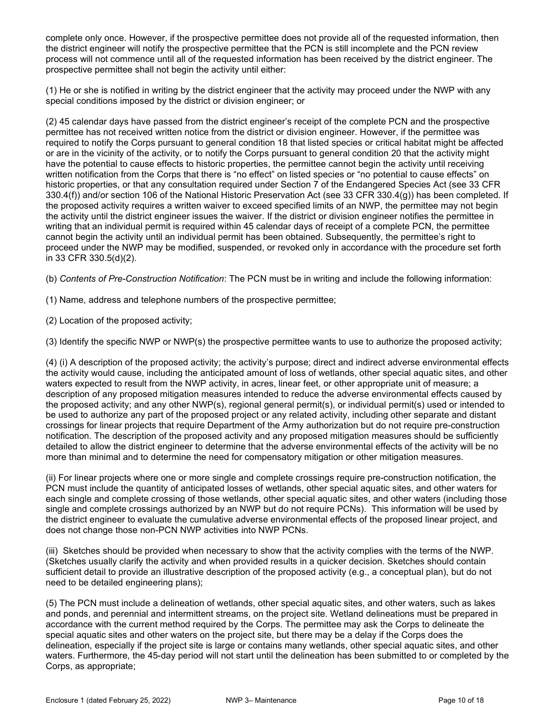complete only once. However, if the prospective permittee does not provide all of the requested information, then the district engineer will notify the prospective permittee that the PCN is still incomplete and the PCN review process will not commence until all of the requested information has been received by the district engineer. The prospective permittee shall not begin the activity until either:

(1) He or she is notified in writing by the district engineer that the activity may proceed under the NWP with any special conditions imposed by the district or division engineer; or

(2) 45 calendar days have passed from the district engineer's receipt of the complete PCN and the prospective permittee has not received written notice from the district or division engineer. However, if the permittee was required to notify the Corps pursuant to general condition 18 that listed species or critical habitat might be affected or are in the vicinity of the activity, or to notify the Corps pursuant to general condition 20 that the activity might have the potential to cause effects to historic properties, the permittee cannot begin the activity until receiving written notification from the Corps that there is "no effect" on listed species or "no potential to cause effects" on historic properties, or that any consultation required under Section 7 of the Endangered Species Act (see 33 CFR 330.4(f)) and/or section 106 of the National Historic Preservation Act (see 33 CFR 330.4(g)) has been completed. If the proposed activity requires a written waiver to exceed specified limits of an NWP, the permittee may not begin the activity until the district engineer issues the waiver. If the district or division engineer notifies the permittee in writing that an individual permit is required within 45 calendar days of receipt of a complete PCN, the permittee cannot begin the activity until an individual permit has been obtained. Subsequently, the permittee's right to proceed under the NWP may be modified, suspended, or revoked only in accordance with the procedure set forth in 33 CFR 330.5(d)(2).

(b) Contents of Pre-Construction Notification: The PCN must be in writing and include the following information:

(1) Name, address and telephone numbers of the prospective permittee;

(2) Location of the proposed activity;

(3) Identify the specific NWP or NWP(s) the prospective permittee wants to use to authorize the proposed activity;

(4) (i) A description of the proposed activity; the activity's purpose; direct and indirect adverse environmental effects the activity would cause, including the anticipated amount of loss of wetlands, other special aquatic sites, and other waters expected to result from the NWP activity, in acres, linear feet, or other appropriate unit of measure; a description of any proposed mitigation measures intended to reduce the adverse environmental effects caused by the proposed activity; and any other NWP(s), regional general permit(s), or individual permit(s) used or intended to be used to authorize any part of the proposed project or any related activity, including other separate and distant crossings for linear projects that require Department of the Army authorization but do not require pre-construction notification. The description of the proposed activity and any proposed mitigation measures should be sufficiently detailed to allow the district engineer to determine that the adverse environmental effects of the activity will be no more than minimal and to determine the need for compensatory mitigation or other mitigation measures.

(ii) For linear projects where one or more single and complete crossings require pre-construction notification, the PCN must include the quantity of anticipated losses of wetlands, other special aquatic sites, and other waters for each single and complete crossing of those wetlands, other special aquatic sites, and other waters (including those single and complete crossings authorized by an NWP but do not require PCNs). This information will be used by the district engineer to evaluate the cumulative adverse environmental effects of the proposed linear project, and does not change those non-PCN NWP activities into NWP PCNs.

(iii) Sketches should be provided when necessary to show that the activity complies with the terms of the NWP. (Sketches usually clarify the activity and when provided results in a quicker decision. Sketches should contain sufficient detail to provide an illustrative description of the proposed activity (e.g., a conceptual plan), but do not need to be detailed engineering plans);

(5) The PCN must include a delineation of wetlands, other special aquatic sites, and other waters, such as lakes and ponds, and perennial and intermittent streams, on the project site. Wetland delineations must be prepared in accordance with the current method required by the Corps. The permittee may ask the Corps to delineate the special aquatic sites and other waters on the project site, but there may be a delay if the Corps does the delineation, especially if the project site is large or contains many wetlands, other special aquatic sites, and other waters. Furthermore, the 45-day period will not start until the delineation has been submitted to or completed by the Corps, as appropriate;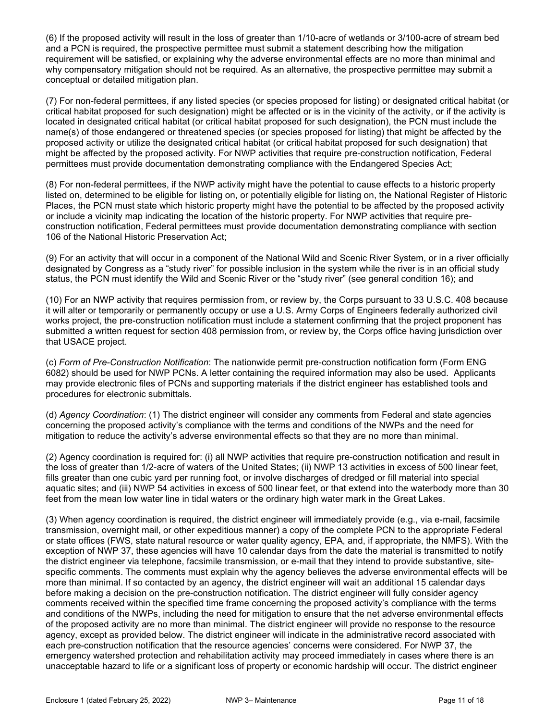(6) If the proposed activity will result in the loss of greater than 1/10-acre of wetlands or 3/100-acre of stream bed and a PCN is required, the prospective permittee must submit a statement describing how the mitigation requirement will be satisfied, or explaining why the adverse environmental effects are no more than minimal and why compensatory mitigation should not be required. As an alternative, the prospective permittee may submit a conceptual or detailed mitigation plan.

(7) For non-federal permittees, if any listed species (or species proposed for listing) or designated critical habitat (or critical habitat proposed for such designation) might be affected or is in the vicinity of the activity, or if the activity is located in designated critical habitat (or critical habitat proposed for such designation), the PCN must include the name(s) of those endangered or threatened species (or species proposed for listing) that might be affected by the proposed activity or utilize the designated critical habitat (or critical habitat proposed for such designation) that might be affected by the proposed activity. For NWP activities that require pre-construction notification, Federal permittees must provide documentation demonstrating compliance with the Endangered Species Act;

(8) For non-federal permittees, if the NWP activity might have the potential to cause effects to a historic property listed on, determined to be eligible for listing on, or potentially eligible for listing on, the National Register of Historic Places, the PCN must state which historic property might have the potential to be affected by the proposed activity or include a vicinity map indicating the location of the historic property. For NWP activities that require preconstruction notification, Federal permittees must provide documentation demonstrating compliance with section 106 of the National Historic Preservation Act;

(9) For an activity that will occur in a component of the National Wild and Scenic River System, or in a river officially designated by Congress as a "study river" for possible inclusion in the system while the river is in an official study status, the PCN must identify the Wild and Scenic River or the "study river" (see general condition 16); and

(10) For an NWP activity that requires permission from, or review by, the Corps pursuant to 33 U.S.C. 408 because it will alter or temporarily or permanently occupy or use a U.S. Army Corps of Engineers federally authorized civil works project, the pre-construction notification must include a statement confirming that the project proponent has submitted a written request for section 408 permission from, or review by, the Corps office having jurisdiction over that USACE project.

(c) Form of Pre-Construction Notification: The nationwide permit pre-construction notification form (Form ENG 6082) should be used for NWP PCNs. A letter containing the required information may also be used. Applicants may provide electronic files of PCNs and supporting materials if the district engineer has established tools and procedures for electronic submittals.

(d) Agency Coordination: (1) The district engineer will consider any comments from Federal and state agencies concerning the proposed activity's compliance with the terms and conditions of the NWPs and the need for mitigation to reduce the activity's adverse environmental effects so that they are no more than minimal.

(2) Agency coordination is required for: (i) all NWP activities that require pre-construction notification and result in the loss of greater than 1/2-acre of waters of the United States; (ii) NWP 13 activities in excess of 500 linear feet, fills greater than one cubic yard per running foot, or involve discharges of dredged or fill material into special aquatic sites; and (iii) NWP 54 activities in excess of 500 linear feet, or that extend into the waterbody more than 30 feet from the mean low water line in tidal waters or the ordinary high water mark in the Great Lakes.

(3) When agency coordination is required, the district engineer will immediately provide (e.g., via e-mail, facsimile transmission, overnight mail, or other expeditious manner) a copy of the complete PCN to the appropriate Federal or state offices (FWS, state natural resource or water quality agency, EPA, and, if appropriate, the NMFS). With the exception of NWP 37, these agencies will have 10 calendar days from the date the material is transmitted to notify the district engineer via telephone, facsimile transmission, or e-mail that they intend to provide substantive, sitespecific comments. The comments must explain why the agency believes the adverse environmental effects will be more than minimal. If so contacted by an agency, the district engineer will wait an additional 15 calendar days before making a decision on the pre-construction notification. The district engineer will fully consider agency comments received within the specified time frame concerning the proposed activity's compliance with the terms and conditions of the NWPs, including the need for mitigation to ensure that the net adverse environmental effects of the proposed activity are no more than minimal. The district engineer will provide no response to the resource agency, except as provided below. The district engineer will indicate in the administrative record associated with each pre-construction notification that the resource agencies' concerns were considered. For NWP 37, the emergency watershed protection and rehabilitation activity may proceed immediately in cases where there is an unacceptable hazard to life or a significant loss of property or economic hardship will occur. The district engineer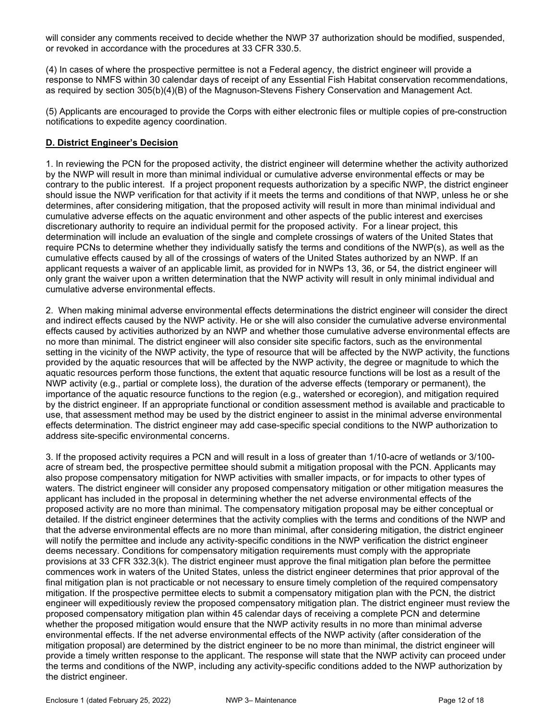will consider any comments received to decide whether the NWP 37 authorization should be modified, suspended, or revoked in accordance with the procedures at 33 CFR 330.5.

(4) In cases of where the prospective permittee is not a Federal agency, the district engineer will provide a response to NMFS within 30 calendar days of receipt of any Essential Fish Habitat conservation recommendations, as required by section 305(b)(4)(B) of the Magnuson-Stevens Fishery Conservation and Management Act.

(5) Applicants are encouraged to provide the Corps with either electronic files or multiple copies of pre-construction notifications to expedite agency coordination.

### D. District Engineer's Decision

1. In reviewing the PCN for the proposed activity, the district engineer will determine whether the activity authorized by the NWP will result in more than minimal individual or cumulative adverse environmental effects or may be contrary to the public interest. If a project proponent requests authorization by a specific NWP, the district engineer should issue the NWP verification for that activity if it meets the terms and conditions of that NWP, unless he or she determines, after considering mitigation, that the proposed activity will result in more than minimal individual and cumulative adverse effects on the aquatic environment and other aspects of the public interest and exercises discretionary authority to require an individual permit for the proposed activity. For a linear project, this determination will include an evaluation of the single and complete crossings of waters of the United States that require PCNs to determine whether they individually satisfy the terms and conditions of the NWP(s), as well as the cumulative effects caused by all of the crossings of waters of the United States authorized by an NWP. If an applicant requests a waiver of an applicable limit, as provided for in NWPs 13, 36, or 54, the district engineer will only grant the waiver upon a written determination that the NWP activity will result in only minimal individual and cumulative adverse environmental effects.

2. When making minimal adverse environmental effects determinations the district engineer will consider the direct and indirect effects caused by the NWP activity. He or she will also consider the cumulative adverse environmental effects caused by activities authorized by an NWP and whether those cumulative adverse environmental effects are no more than minimal. The district engineer will also consider site specific factors, such as the environmental setting in the vicinity of the NWP activity, the type of resource that will be affected by the NWP activity, the functions provided by the aquatic resources that will be affected by the NWP activity, the degree or magnitude to which the aquatic resources perform those functions, the extent that aquatic resource functions will be lost as a result of the NWP activity (e.g., partial or complete loss), the duration of the adverse effects (temporary or permanent), the importance of the aquatic resource functions to the region (e.g., watershed or ecoregion), and mitigation required by the district engineer. If an appropriate functional or condition assessment method is available and practicable to use, that assessment method may be used by the district engineer to assist in the minimal adverse environmental effects determination. The district engineer may add case-specific special conditions to the NWP authorization to address site-specific environmental concerns.

3. If the proposed activity requires a PCN and will result in a loss of greater than 1/10-acre of wetlands or 3/100 acre of stream bed, the prospective permittee should submit a mitigation proposal with the PCN. Applicants may also propose compensatory mitigation for NWP activities with smaller impacts, or for impacts to other types of waters. The district engineer will consider any proposed compensatory mitigation or other mitigation measures the applicant has included in the proposal in determining whether the net adverse environmental effects of the proposed activity are no more than minimal. The compensatory mitigation proposal may be either conceptual or detailed. If the district engineer determines that the activity complies with the terms and conditions of the NWP and that the adverse environmental effects are no more than minimal, after considering mitigation, the district engineer will notify the permittee and include any activity-specific conditions in the NWP verification the district engineer deems necessary. Conditions for compensatory mitigation requirements must comply with the appropriate provisions at 33 CFR 332.3(k). The district engineer must approve the final mitigation plan before the permittee commences work in waters of the United States, unless the district engineer determines that prior approval of the final mitigation plan is not practicable or not necessary to ensure timely completion of the required compensatory mitigation. If the prospective permittee elects to submit a compensatory mitigation plan with the PCN, the district engineer will expeditiously review the proposed compensatory mitigation plan. The district engineer must review the proposed compensatory mitigation plan within 45 calendar days of receiving a complete PCN and determine whether the proposed mitigation would ensure that the NWP activity results in no more than minimal adverse environmental effects. If the net adverse environmental effects of the NWP activity (after consideration of the mitigation proposal) are determined by the district engineer to be no more than minimal, the district engineer will provide a timely written response to the applicant. The response will state that the NWP activity can proceed under the terms and conditions of the NWP, including any activity-specific conditions added to the NWP authorization by the district engineer.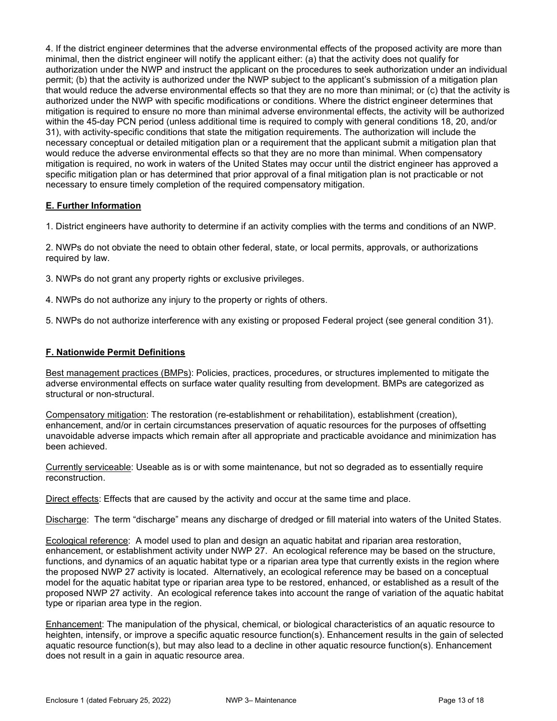4. If the district engineer determines that the adverse environmental effects of the proposed activity are more than minimal, then the district engineer will notify the applicant either: (a) that the activity does not qualify for authorization under the NWP and instruct the applicant on the procedures to seek authorization under an individual permit; (b) that the activity is authorized under the NWP subject to the applicant's submission of a mitigation plan that would reduce the adverse environmental effects so that they are no more than minimal; or (c) that the activity is authorized under the NWP with specific modifications or conditions. Where the district engineer determines that mitigation is required to ensure no more than minimal adverse environmental effects, the activity will be authorized within the 45-day PCN period (unless additional time is required to comply with general conditions 18, 20, and/or 31), with activity-specific conditions that state the mitigation requirements. The authorization will include the necessary conceptual or detailed mitigation plan or a requirement that the applicant submit a mitigation plan that would reduce the adverse environmental effects so that they are no more than minimal. When compensatory mitigation is required, no work in waters of the United States may occur until the district engineer has approved a specific mitigation plan or has determined that prior approval of a final mitigation plan is not practicable or not necessary to ensure timely completion of the required compensatory mitigation.

## E. Further Information

1. District engineers have authority to determine if an activity complies with the terms and conditions of an NWP.

2. NWPs do not obviate the need to obtain other federal, state, or local permits, approvals, or authorizations required by law.

3. NWPs do not grant any property rights or exclusive privileges.

4. NWPs do not authorize any injury to the property or rights of others.

5. NWPs do not authorize interference with any existing or proposed Federal project (see general condition 31).

### F. Nationwide Permit Definitions

Best management practices (BMPs): Policies, practices, procedures, or structures implemented to mitigate the adverse environmental effects on surface water quality resulting from development. BMPs are categorized as structural or non-structural.

Compensatory mitigation: The restoration (re-establishment or rehabilitation), establishment (creation), enhancement, and/or in certain circumstances preservation of aquatic resources for the purposes of offsetting unavoidable adverse impacts which remain after all appropriate and practicable avoidance and minimization has been achieved.

Currently serviceable: Useable as is or with some maintenance, but not so degraded as to essentially require reconstruction.

Direct effects: Effects that are caused by the activity and occur at the same time and place.

Discharge: The term "discharge" means any discharge of dredged or fill material into waters of the United States.

Ecological reference: A model used to plan and design an aquatic habitat and riparian area restoration, enhancement, or establishment activity under NWP 27. An ecological reference may be based on the structure, functions, and dynamics of an aquatic habitat type or a riparian area type that currently exists in the region where the proposed NWP 27 activity is located. Alternatively, an ecological reference may be based on a conceptual model for the aquatic habitat type or riparian area type to be restored, enhanced, or established as a result of the proposed NWP 27 activity. An ecological reference takes into account the range of variation of the aquatic habitat type or riparian area type in the region.

Enhancement: The manipulation of the physical, chemical, or biological characteristics of an aquatic resource to heighten, intensify, or improve a specific aquatic resource function(s). Enhancement results in the gain of selected aquatic resource function(s), but may also lead to a decline in other aquatic resource function(s). Enhancement does not result in a gain in aquatic resource area.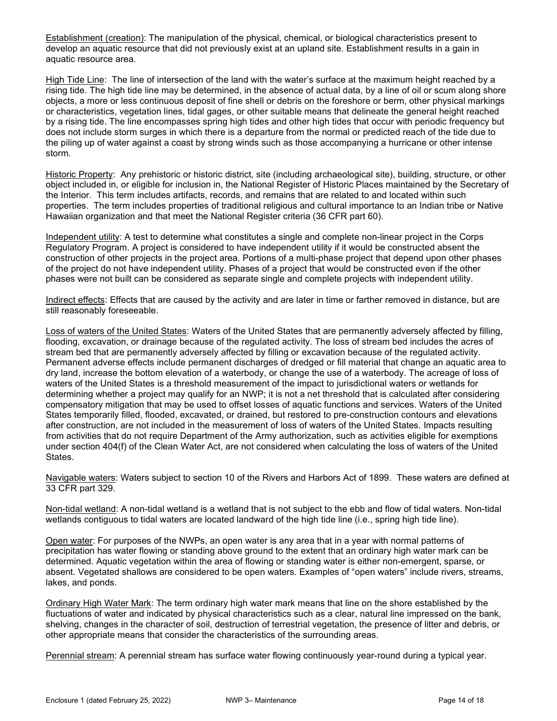Establishment (creation): The manipulation of the physical, chemical, or biological characteristics present to develop an aquatic resource that did not previously exist at an upland site. Establishment results in a gain in aquatic resource area.

High Tide Line: The line of intersection of the land with the water's surface at the maximum height reached by a rising tide. The high tide line may be determined, in the absence of actual data, by a line of oil or scum along shore objects, a more or less continuous deposit of fine shell or debris on the foreshore or berm, other physical markings or characteristics, vegetation lines, tidal gages, or other suitable means that delineate the general height reached by a rising tide. The line encompasses spring high tides and other high tides that occur with periodic frequency but does not include storm surges in which there is a departure from the normal or predicted reach of the tide due to the piling up of water against a coast by strong winds such as those accompanying a hurricane or other intense storm.

Historic Property: Any prehistoric or historic district, site (including archaeological site), building, structure, or other object included in, or eligible for inclusion in, the National Register of Historic Places maintained by the Secretary of the Interior. This term includes artifacts, records, and remains that are related to and located within such properties. The term includes properties of traditional religious and cultural importance to an Indian tribe or Native Hawaiian organization and that meet the National Register criteria (36 CFR part 60).

Independent utility: A test to determine what constitutes a single and complete non-linear project in the Corps Regulatory Program. A project is considered to have independent utility if it would be constructed absent the construction of other projects in the project area. Portions of a multi-phase project that depend upon other phases of the project do not have independent utility. Phases of a project that would be constructed even if the other phases were not built can be considered as separate single and complete projects with independent utility.

Indirect effects: Effects that are caused by the activity and are later in time or farther removed in distance, but are still reasonably foreseeable.

Loss of waters of the United States: Waters of the United States that are permanently adversely affected by filling, flooding, excavation, or drainage because of the regulated activity. The loss of stream bed includes the acres of stream bed that are permanently adversely affected by filling or excavation because of the regulated activity. Permanent adverse effects include permanent discharges of dredged or fill material that change an aquatic area to dry land, increase the bottom elevation of a waterbody, or change the use of a waterbody. The acreage of loss of waters of the United States is a threshold measurement of the impact to jurisdictional waters or wetlands for determining whether a project may qualify for an NWP; it is not a net threshold that is calculated after considering compensatory mitigation that may be used to offset losses of aquatic functions and services. Waters of the United States temporarily filled, flooded, excavated, or drained, but restored to pre-construction contours and elevations after construction, are not included in the measurement of loss of waters of the United States. Impacts resulting from activities that do not require Department of the Army authorization, such as activities eligible for exemptions under section 404(f) of the Clean Water Act, are not considered when calculating the loss of waters of the United States.

Navigable waters: Waters subject to section 10 of the Rivers and Harbors Act of 1899. These waters are defined at 33 CFR part 329.

Non-tidal wetland: A non-tidal wetland is a wetland that is not subject to the ebb and flow of tidal waters. Non-tidal wetlands contiguous to tidal waters are located landward of the high tide line (i.e., spring high tide line).

Open water: For purposes of the NWPs, an open water is any area that in a year with normal patterns of precipitation has water flowing or standing above ground to the extent that an ordinary high water mark can be determined. Aquatic vegetation within the area of flowing or standing water is either non-emergent, sparse, or absent. Vegetated shallows are considered to be open waters. Examples of "open waters" include rivers, streams, lakes, and ponds.

Ordinary High Water Mark: The term ordinary high water mark means that line on the shore established by the fluctuations of water and indicated by physical characteristics such as a clear, natural line impressed on the bank, shelving, changes in the character of soil, destruction of terrestrial vegetation, the presence of litter and debris, or other appropriate means that consider the characteristics of the surrounding areas.

Perennial stream: A perennial stream has surface water flowing continuously year-round during a typical year.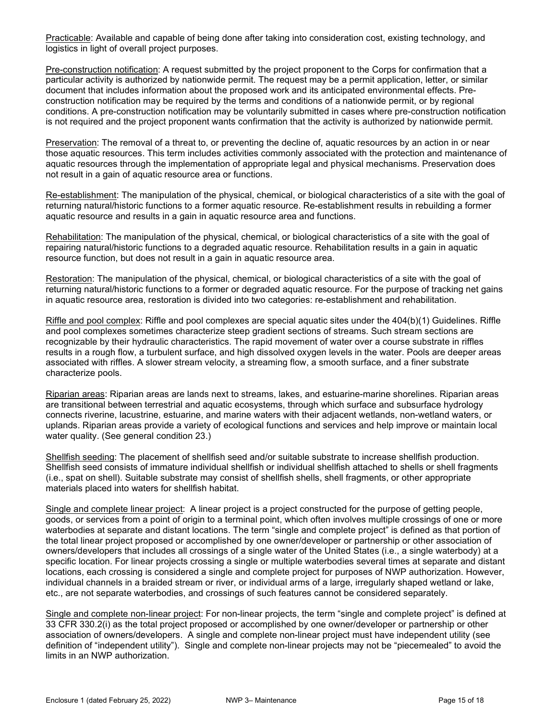Practicable: Available and capable of being done after taking into consideration cost, existing technology, and logistics in light of overall project purposes.

Pre-construction notification: A request submitted by the project proponent to the Corps for confirmation that a particular activity is authorized by nationwide permit. The request may be a permit application, letter, or similar document that includes information about the proposed work and its anticipated environmental effects. Preconstruction notification may be required by the terms and conditions of a nationwide permit, or by regional conditions. A pre-construction notification may be voluntarily submitted in cases where pre-construction notification is not required and the project proponent wants confirmation that the activity is authorized by nationwide permit.

Preservation: The removal of a threat to, or preventing the decline of, aquatic resources by an action in or near those aquatic resources. This term includes activities commonly associated with the protection and maintenance of aquatic resources through the implementation of appropriate legal and physical mechanisms. Preservation does not result in a gain of aquatic resource area or functions.

Re-establishment: The manipulation of the physical, chemical, or biological characteristics of a site with the goal of returning natural/historic functions to a former aquatic resource. Re-establishment results in rebuilding a former aquatic resource and results in a gain in aquatic resource area and functions.

Rehabilitation: The manipulation of the physical, chemical, or biological characteristics of a site with the goal of repairing natural/historic functions to a degraded aquatic resource. Rehabilitation results in a gain in aquatic resource function, but does not result in a gain in aquatic resource area.

Restoration: The manipulation of the physical, chemical, or biological characteristics of a site with the goal of returning natural/historic functions to a former or degraded aquatic resource. For the purpose of tracking net gains in aquatic resource area, restoration is divided into two categories: re-establishment and rehabilitation.

Riffle and pool complex: Riffle and pool complexes are special aquatic sites under the 404(b)(1) Guidelines. Riffle and pool complexes sometimes characterize steep gradient sections of streams. Such stream sections are recognizable by their hydraulic characteristics. The rapid movement of water over a course substrate in riffles results in a rough flow, a turbulent surface, and high dissolved oxygen levels in the water. Pools are deeper areas associated with riffles. A slower stream velocity, a streaming flow, a smooth surface, and a finer substrate characterize pools.

Riparian areas: Riparian areas are lands next to streams, lakes, and estuarine-marine shorelines. Riparian areas are transitional between terrestrial and aquatic ecosystems, through which surface and subsurface hydrology connects riverine, lacustrine, estuarine, and marine waters with their adjacent wetlands, non-wetland waters, or uplands. Riparian areas provide a variety of ecological functions and services and help improve or maintain local water quality. (See general condition 23.)

Shellfish seeding: The placement of shellfish seed and/or suitable substrate to increase shellfish production. Shellfish seed consists of immature individual shellfish or individual shellfish attached to shells or shell fragments (i.e., spat on shell). Suitable substrate may consist of shellfish shells, shell fragments, or other appropriate materials placed into waters for shellfish habitat.

Single and complete linear project: A linear project is a project constructed for the purpose of getting people, goods, or services from a point of origin to a terminal point, which often involves multiple crossings of one or more waterbodies at separate and distant locations. The term "single and complete project" is defined as that portion of the total linear project proposed or accomplished by one owner/developer or partnership or other association of owners/developers that includes all crossings of a single water of the United States (i.e., a single waterbody) at a specific location. For linear projects crossing a single or multiple waterbodies several times at separate and distant locations, each crossing is considered a single and complete project for purposes of NWP authorization. However, individual channels in a braided stream or river, or individual arms of a large, irregularly shaped wetland or lake, etc., are not separate waterbodies, and crossings of such features cannot be considered separately.

Single and complete non-linear project: For non-linear projects, the term "single and complete project" is defined at 33 CFR 330.2(i) as the total project proposed or accomplished by one owner/developer or partnership or other association of owners/developers. A single and complete non-linear project must have independent utility (see definition of "independent utility"). Single and complete non-linear projects may not be "piecemealed" to avoid the limits in an NWP authorization.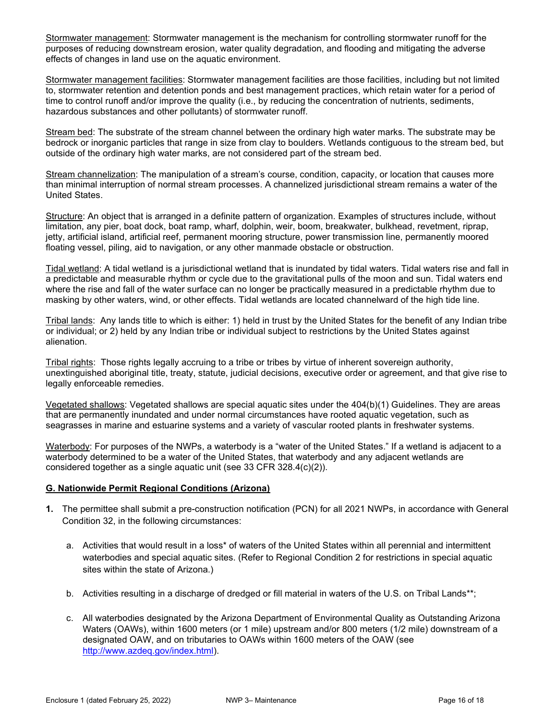Stormwater management: Stormwater management is the mechanism for controlling stormwater runoff for the purposes of reducing downstream erosion, water quality degradation, and flooding and mitigating the adverse effects of changes in land use on the aquatic environment.

Stormwater management facilities: Stormwater management facilities are those facilities, including but not limited to, stormwater retention and detention ponds and best management practices, which retain water for a period of time to control runoff and/or improve the quality (i.e., by reducing the concentration of nutrients, sediments, hazardous substances and other pollutants) of stormwater runoff.

Stream bed: The substrate of the stream channel between the ordinary high water marks. The substrate may be bedrock or inorganic particles that range in size from clay to boulders. Wetlands contiguous to the stream bed, but outside of the ordinary high water marks, are not considered part of the stream bed.

Stream channelization: The manipulation of a stream's course, condition, capacity, or location that causes more than minimal interruption of normal stream processes. A channelized jurisdictional stream remains a water of the United States.

Structure: An object that is arranged in a definite pattern of organization. Examples of structures include, without limitation, any pier, boat dock, boat ramp, wharf, dolphin, weir, boom, breakwater, bulkhead, revetment, riprap, jetty, artificial island, artificial reef, permanent mooring structure, power transmission line, permanently moored floating vessel, piling, aid to navigation, or any other manmade obstacle or obstruction.

Tidal wetland: A tidal wetland is a jurisdictional wetland that is inundated by tidal waters. Tidal waters rise and fall in a predictable and measurable rhythm or cycle due to the gravitational pulls of the moon and sun. Tidal waters end where the rise and fall of the water surface can no longer be practically measured in a predictable rhythm due to masking by other waters, wind, or other effects. Tidal wetlands are located channelward of the high tide line.

Tribal lands: Any lands title to which is either: 1) held in trust by the United States for the benefit of any Indian tribe or individual; or 2) held by any Indian tribe or individual subject to restrictions by the United States against alienation.

Tribal rights: Those rights legally accruing to a tribe or tribes by virtue of inherent sovereign authority, unextinguished aboriginal title, treaty, statute, judicial decisions, executive order or agreement, and that give rise to legally enforceable remedies.

Vegetated shallows: Vegetated shallows are special aquatic sites under the 404(b)(1) Guidelines. They are areas that are permanently inundated and under normal circumstances have rooted aquatic vegetation, such as seagrasses in marine and estuarine systems and a variety of vascular rooted plants in freshwater systems.

Waterbody: For purposes of the NWPs, a waterbody is a "water of the United States." If a wetland is adjacent to a waterbody determined to be a water of the United States, that waterbody and any adjacent wetlands are considered together as a single aquatic unit (see 33 CFR 328.4(c)(2)).

### G. Nationwide Permit Regional Conditions (Arizona)

- 1. The permittee shall submit a pre-construction notification (PCN) for all 2021 NWPs, in accordance with General Condition 32, in the following circumstances:
	- a. Activities that would result in a loss\* of waters of the United States within all perennial and intermittent waterbodies and special aquatic sites. (Refer to Regional Condition 2 for restrictions in special aquatic sites within the state of Arizona.)
	- b. Activities resulting in a discharge of dredged or fill material in waters of the U.S. on Tribal Lands\*\*;
	- c. All waterbodies designated by the Arizona Department of Environmental Quality as Outstanding Arizona Waters (OAWs), within 1600 meters (or 1 mile) upstream and/or 800 meters (1/2 mile) downstream of a designated OAW, and on tributaries to OAWs within 1600 meters of the OAW (see http://www.azdeq.gov/index.html).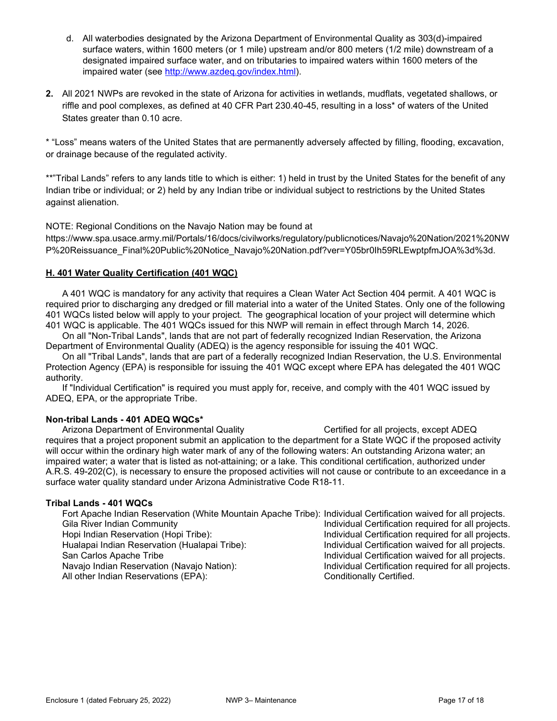- d. All waterbodies designated by the Arizona Department of Environmental Quality as 303(d)-impaired surface waters, within 1600 meters (or 1 mile) upstream and/or 800 meters (1/2 mile) downstream of a designated impaired surface water, and on tributaries to impaired waters within 1600 meters of the impaired water (see http://www.azdeq.gov/index.html).
- 2. All 2021 NWPs are revoked in the state of Arizona for activities in wetlands, mudflats, vegetated shallows, or riffle and pool complexes, as defined at 40 CFR Part 230.40-45, resulting in a loss\* of waters of the United States greater than 0.10 acre.

\* "Loss" means waters of the United States that are permanently adversely affected by filling, flooding, excavation, or drainage because of the regulated activity.

\*\*"Tribal Lands" refers to any lands title to which is either: 1) held in trust by the United States for the benefit of any Indian tribe or individual; or 2) held by any Indian tribe or individual subject to restrictions by the United States against alienation.

NOTE: Regional Conditions on the Navajo Nation may be found at

https://www.spa.usace.army.mil/Portals/16/docs/civilworks/regulatory/publicnotices/Navajo%20Nation/2021%20NW P%20Reissuance\_Final%20Public%20Notice\_Navajo%20Nation.pdf?ver=Y05br0Ih59RLEwptpfmJOA%3d%3d.

### H. 401 Water Quality Certification (401 WQC)

 A 401 WQC is mandatory for any activity that requires a Clean Water Act Section 404 permit. A 401 WQC is required prior to discharging any dredged or fill material into a water of the United States. Only one of the following 401 WQCs listed below will apply to your project. The geographical location of your project will determine which 401 WQC is applicable. The 401 WQCs issued for this NWP will remain in effect through March 14, 2026.

 On all "Non-Tribal Lands", lands that are not part of federally recognized Indian Reservation, the Arizona Department of Environmental Quality (ADEQ) is the agency responsible for issuing the 401 WQC.

 On all "Tribal Lands", lands that are part of a federally recognized Indian Reservation, the U.S. Environmental Protection Agency (EPA) is responsible for issuing the 401 WQC except where EPA has delegated the 401 WQC authority.

 If "Individual Certification" is required you must apply for, receive, and comply with the 401 WQC issued by ADEQ, EPA, or the appropriate Tribe.

#### Non-tribal Lands - 401 ADEQ WQCs\*

Arizona Department of Environmental Quality Certified for all projects, except ADEQ requires that a project proponent submit an application to the department for a State WQC if the proposed activity will occur within the ordinary high water mark of any of the following waters: An outstanding Arizona water; an impaired water; a water that is listed as not-attaining; or a lake. This conditional certification, authorized under A.R.S. 49-202(C), is necessary to ensure the proposed activities will not cause or contribute to an exceedance in a surface water quality standard under Arizona Administrative Code R18-11.

#### Tribal Lands - 401 WQCs

 Fort Apache Indian Reservation (White Mountain Apache Tribe): Individual Certification waived for all projects. Gila River Indian Community **Individual Certification required for all projects.** Hopi Indian Reservation (Hopi Tribe): Individual Certification required for all projects. Hualapai Indian Reservation (Hualapai Tribe): Individual Certification waived for all projects. San Carlos Apache Tribe **Individual Certification waived for all projects**. Navajo Indian Reservation (Navajo Nation): Individual Certification required for all projects. All other Indian Reservations (EPA): Conditionally Certified.